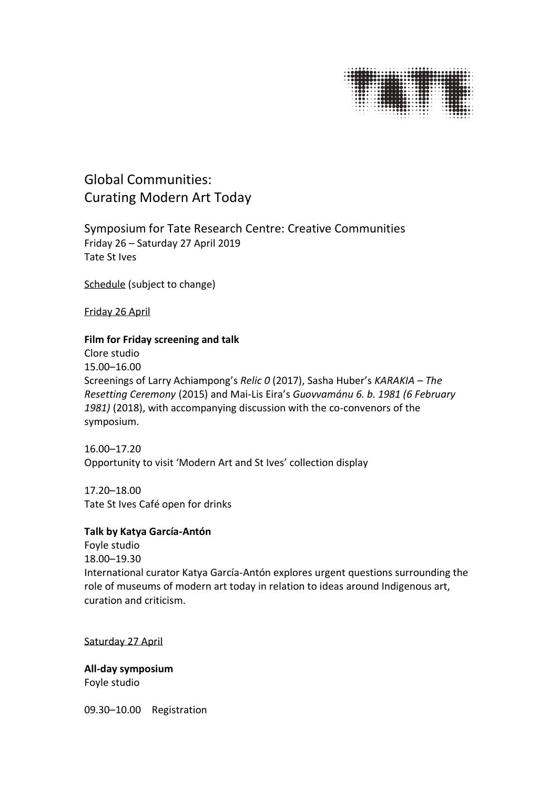

# Global Communities: Curating Modern Art Today

Symposium for Tate Research Centre: Creative Communities Friday 26 – Saturday 27 April 2019 Tate St Ives

Schedule (subject to change)

Friday 26 April

# **Film for Friday screening and talk**

Clore studio 15.00–16.00 Screenings of Larry Achiampong's *Relic 0* (2017), Sasha Huber's *KARAKIA – The Resetting Ceremony* (2015) and Mai-Lis Eira's *Guovvamánu 6. b. 1981 (6 February 1981)* (2018), with accompanying discussion with the co-convenors of the symposium.

16.00–17.20 Opportunity to visit 'Modern Art and St Ives' collection display

17.20–18.00 Tate St Ives Café open for drinks

### **Talk by Katya García-Antón**

Foyle studio 18.00–19.30 International curator Katya García-Antón explores urgent questions surrounding the role of museums of modern art today in relation to ideas around Indigenous art, curation and criticism.

### Saturday 27 April

**All-day symposium** Foyle studio

09.30–10.00 Registration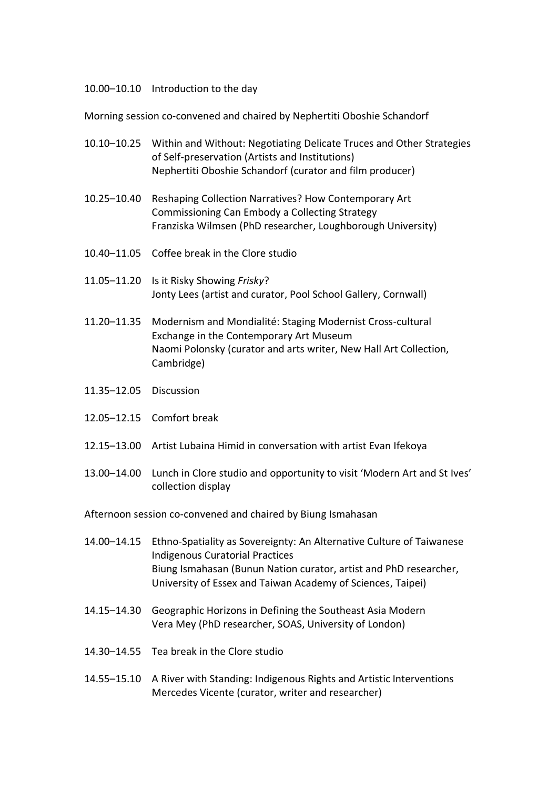### 10.00–10.10 Introduction to the day

Morning session co-convened and chaired by Nephertiti Oboshie Schandorf

| 10.10-10.25 | Within and Without: Negotiating Delicate Truces and Other Strategies<br>of Self-preservation (Artists and Institutions)<br>Nephertiti Oboshie Schandorf (curator and film producer)      |
|-------------|------------------------------------------------------------------------------------------------------------------------------------------------------------------------------------------|
| 10.25-10.40 | Reshaping Collection Narratives? How Contemporary Art<br>Commissioning Can Embody a Collecting Strategy<br>Franziska Wilmsen (PhD researcher, Loughborough University)                   |
| 10.40-11.05 | Coffee break in the Clore studio                                                                                                                                                         |
|             | 11.05-11.20 Is it Risky Showing Frisky?<br>Jonty Lees (artist and curator, Pool School Gallery, Cornwall)                                                                                |
| 11.20-11.35 | Modernism and Mondialité: Staging Modernist Cross-cultural<br>Exchange in the Contemporary Art Museum<br>Naomi Polonsky (curator and arts writer, New Hall Art Collection,<br>Cambridge) |
| 11.35-12.05 | <b>Discussion</b>                                                                                                                                                                        |
| 12.05-12.15 | Comfort break                                                                                                                                                                            |
|             | 12.15-13.00 Artist Lubaina Himid in conversation with artist Evan Ifekoya                                                                                                                |
| 13.00-14.00 | Lunch in Clore studio and opportunity to visit 'Modern Art and St Ives'<br>collection display                                                                                            |

Afternoon session co-convened and chaired by Biung Ismahasan

- 14.00–14.15 Ethno-Spatiality as Sovereignty: An Alternative Culture of Taiwanese Indigenous Curatorial Practices Biung Ismahasan (Bunun Nation curator, artist and PhD researcher, University of Essex and Taiwan Academy of Sciences, Taipei)
- 14.15–14.30 Geographic Horizons in Defining the Southeast Asia Modern Vera Mey (PhD researcher, SOAS, University of London)
- 14.30–14.55 Tea break in the Clore studio
- 14.55–15.10 A River with Standing: Indigenous Rights and Artistic Interventions Mercedes Vicente (curator, writer and researcher)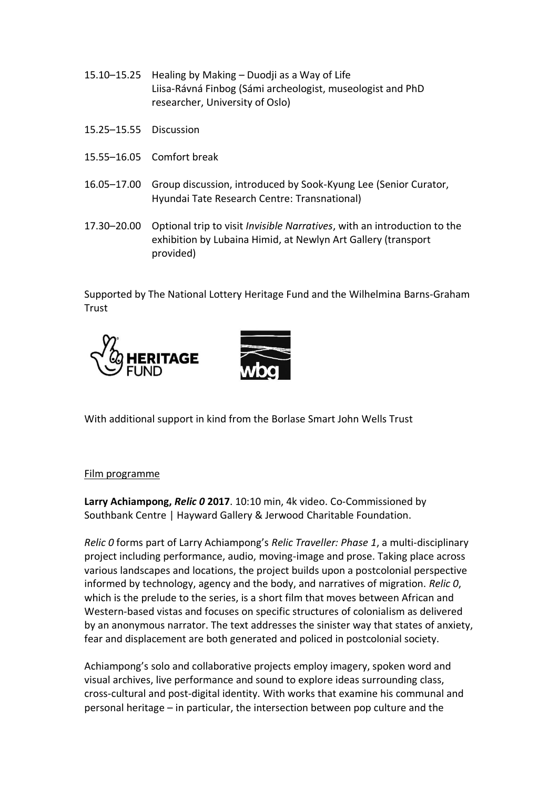- 15.10–15.25 Healing by Making Duodji as a Way of Life Liisa-Rávná Finbog (Sámi archeologist, museologist and PhD researcher, University of Oslo)
- 15.25–15.55 Discussion
- 15.55–16.05 Comfort break
- 16.05–17.00 Group discussion, introduced by Sook-Kyung Lee (Senior Curator, Hyundai Tate Research Centre: Transnational)
- 17.30–20.00 Optional trip to visit *Invisible Narratives*, with an introduction to the exhibition by Lubaina Himid, at Newlyn Art Gallery (transport provided)

Supported by The National Lottery Heritage Fund and the Wilhelmina Barns-Graham **Trust** 



With additional support in kind from the Borlase Smart John Wells Trust

#### Film programme

**Larry Achiampong,** *Relic 0* **2017**. 10:10 min, 4k video. Co-Commissioned by Southbank Centre | Hayward Gallery & Jerwood Charitable Foundation.

*Relic 0* forms part of Larry Achiampong's *Relic Traveller: Phase 1*, a multi-disciplinary project including performance, audio, moving-image and prose. Taking place across various landscapes and locations, the project builds upon a postcolonial perspective informed by technology, agency and the body, and narratives of migration. *Relic 0*, which is the prelude to the series, is a short film that moves between African and Western-based vistas and focuses on specific structures of colonialism as delivered by an anonymous narrator. The text addresses the sinister way that states of anxiety, fear and displacement are both generated and policed in postcolonial society.

Achiampong's solo and collaborative projects employ imagery, spoken word and visual archives, live performance and sound to explore ideas surrounding class, cross-cultural and post-digital identity. With works that examine his communal and personal heritage – in particular, the intersection between pop culture and the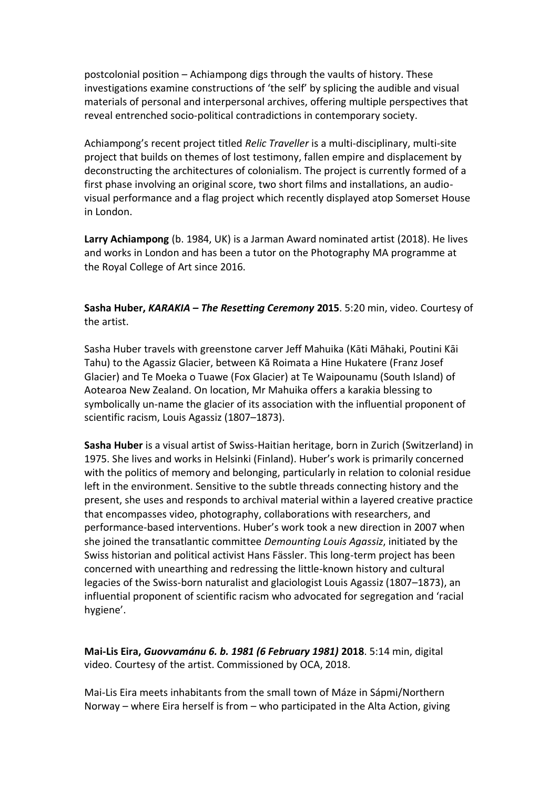postcolonial position – Achiampong digs through the vaults of history. These investigations examine constructions of 'the self' by splicing the audible and visual materials of personal and interpersonal archives, offering multiple perspectives that reveal entrenched socio-political contradictions in contemporary society.

Achiampong's recent project titled *Relic Traveller* is a multi-disciplinary, multi-site project that builds on themes of lost testimony, fallen empire and displacement by deconstructing the architectures of colonialism. The project is currently formed of a first phase involving an original score, two short films and installations, an audiovisual performance and a flag project which recently displayed atop Somerset House in London.

**Larry Achiampong** (b. 1984, UK) is a Jarman Award nominated artist (2018). He lives and works in London and has been a tutor on the Photography MA programme at the Royal College of Art since 2016.

**Sasha Huber,** *KARAKIA – The Resetting Ceremony* **2015**. 5:20 min, video. Courtesy of the artist.

Sasha Huber travels with greenstone carver Jeff Mahuika (Kāti Māhaki, Poutini Kāi Tahu) to the Agassiz Glacier, between Kā Roimata a Hine Hukatere (Franz Josef Glacier) and Te Moeka o Tuawe (Fox Glacier) at Te Waipounamu (South Island) of Aotearoa New Zealand. On location, Mr Mahuika offers a karakia blessing to symbolically un-name the glacier of its association with the influential proponent of scientific racism, Louis Agassiz (1807–1873).

**Sasha Huber** is a visual artist of Swiss-Haitian heritage, born in Zurich (Switzerland) in 1975. She lives and works in Helsinki (Finland). Huber's work is primarily concerned with the politics of memory and belonging, particularly in relation to colonial residue left in the environment. Sensitive to the subtle threads connecting history and the present, she uses and responds to archival material within a layered creative practice that encompasses video, photography, collaborations with researchers, and performance-based interventions. Huber's work took a new direction in 2007 when she joined the transatlantic committee *Demounting Louis Agassiz*, initiated by the Swiss historian and political activist Hans Fässler. This long-term project has been concerned with unearthing and redressing the little-known history and cultural legacies of the Swiss-born naturalist and glaciologist Louis Agassiz (1807–1873), an influential proponent of scientific racism who advocated for segregation and 'racial hygiene'.

**Mai-Lis Eira,** *Guovvamánu 6. b. 1981 (6 February 1981)* **2018**. 5:14 min, digital video. Courtesy of the artist. Commissioned by OCA, 2018.

Mai-Lis Eira meets inhabitants from the small town of Máze in Sápmi/Northern Norway – where Eira herself is from – who participated in the Alta Action, giving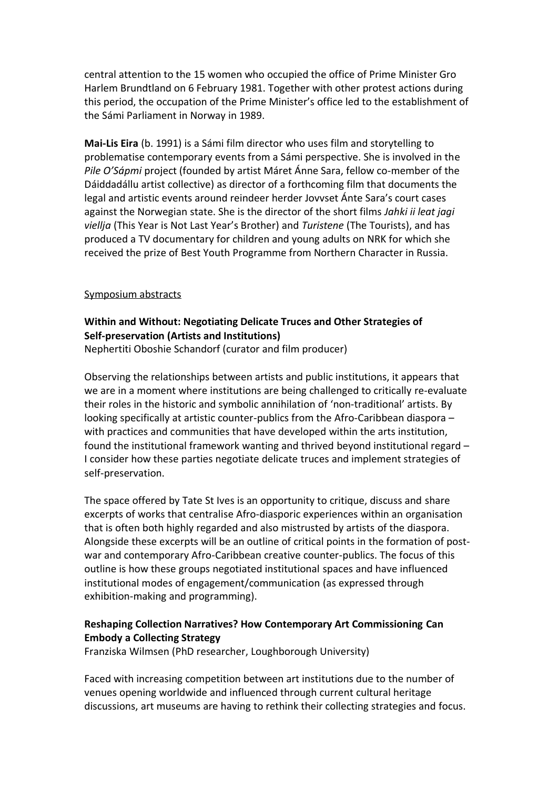central attention to the 15 women who occupied the office of Prime Minister Gro Harlem Brundtland on 6 February 1981. Together with other protest actions during this period, the occupation of the Prime Minister's office led to the establishment of the Sámi Parliament in Norway in 1989.

**Mai-Lis Eira** (b. 1991) is a Sámi film director who uses film and storytelling to problematise contemporary events from a Sámi perspective. She is involved in the *Pile O'Sápmi* project (founded by artist Máret Ánne Sara, fellow co-member of the Dáiddadállu artist collective) as director of a forthcoming film that documents the legal and artistic events around reindeer herder Jovvset Ánte Sara's court cases against the Norwegian state. She is the director of the short films *Jahki ii leat jagi viellja* (This Year is Not Last Year's Brother) and *Turistene* (The Tourists), and has produced a TV documentary for children and young adults on NRK for which she received the prize of Best Youth Programme from Northern Character in Russia.

### Symposium abstracts

# **Within and Without: Negotiating Delicate Truces and Other Strategies of Self-preservation (Artists and Institutions)**

Nephertiti Oboshie Schandorf (curator and film producer)

Observing the relationships between artists and public institutions, it appears that we are in a moment where institutions are being challenged to critically re-evaluate their roles in the historic and symbolic annihilation of 'non-traditional' artists. By looking specifically at artistic counter-publics from the Afro-Caribbean diaspora – with practices and communities that have developed within the arts institution, found the institutional framework wanting and thrived beyond institutional regard – I consider how these parties negotiate delicate truces and implement strategies of self-preservation.

The space offered by Tate St Ives is an opportunity to critique, discuss and share excerpts of works that centralise Afro-diasporic experiences within an organisation that is often both highly regarded and also mistrusted by artists of the diaspora. Alongside these excerpts will be an outline of critical points in the formation of postwar and contemporary Afro-Caribbean creative counter-publics. The focus of this outline is how these groups negotiated institutional spaces and have influenced institutional modes of engagement/communication (as expressed through exhibition-making and programming).

# **Reshaping Collection Narratives? How Contemporary Art Commissioning Can Embody a Collecting Strategy**

Franziska Wilmsen (PhD researcher, Loughborough University)

Faced with increasing competition between art institutions due to the number of venues opening worldwide and influenced through current cultural heritage discussions, art museums are having to rethink their collecting strategies and focus.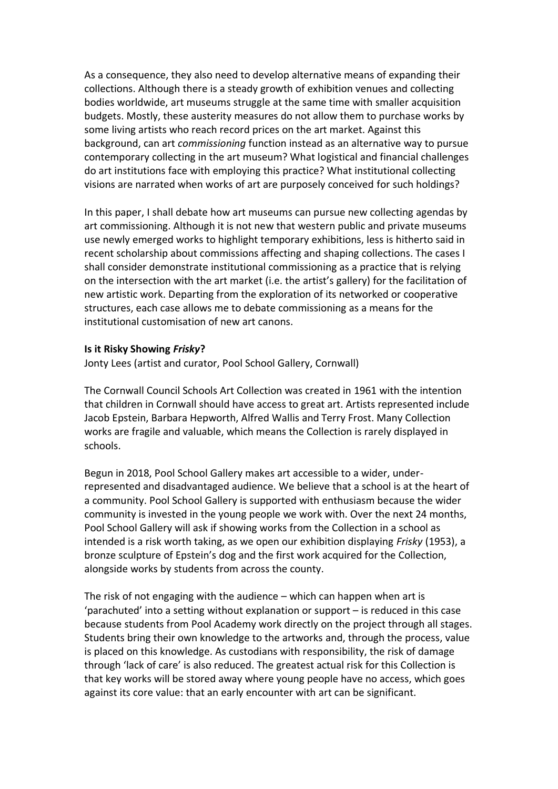As a consequence, they also need to develop alternative means of expanding their collections. Although there is a steady growth of exhibition venues and collecting bodies worldwide, art museums struggle at the same time with smaller acquisition budgets. Mostly, these austerity measures do not allow them to purchase works by some living artists who reach record prices on the art market. Against this background, can art *commissioning* function instead as an alternative way to pursue contemporary collecting in the art museum? What logistical and financial challenges do art institutions face with employing this practice? What institutional collecting visions are narrated when works of art are purposely conceived for such holdings?

In this paper, I shall debate how art museums can pursue new collecting agendas by art commissioning. Although it is not new that western public and private museums use newly emerged works to highlight temporary exhibitions, less is hitherto said in recent scholarship about commissions affecting and shaping collections. The cases I shall consider demonstrate institutional commissioning as a practice that is relying on the intersection with the art market (i.e. the artist's gallery) for the facilitation of new artistic work. Departing from the exploration of its networked or cooperative structures, each case allows me to debate commissioning as a means for the institutional customisation of new art canons.

#### **Is it Risky Showing** *Frisky***?**

Jonty Lees (artist and curator, Pool School Gallery, Cornwall)

The Cornwall Council Schools Art Collection was created in 1961 with the intention that children in Cornwall should have access to great art. Artists represented include Jacob Epstein, Barbara Hepworth, Alfred Wallis and Terry Frost. Many Collection works are fragile and valuable, which means the Collection is rarely displayed in schools.

Begun in 2018, Pool School Gallery makes art accessible to a wider, underrepresented and disadvantaged audience. We believe that a school is at the heart of a community. Pool School Gallery is supported with enthusiasm because the wider community is invested in the young people we work with. Over the next 24 months, Pool School Gallery will ask if showing works from the Collection in a school as intended is a risk worth taking, as we open our exhibition displaying *Frisky* (1953), a bronze sculpture of Epstein's dog and the first work acquired for the Collection, alongside works by students from across the county.

The risk of not engaging with the audience – which can happen when art is 'parachuted' into a setting without explanation or support – is reduced in this case because students from Pool Academy work directly on the project through all stages. Students bring their own knowledge to the artworks and, through the process, value is placed on this knowledge. As custodians with responsibility, the risk of damage through 'lack of care' is also reduced. The greatest actual risk for this Collection is that key works will be stored away where young people have no access, which goes against its core value: that an early encounter with art can be significant.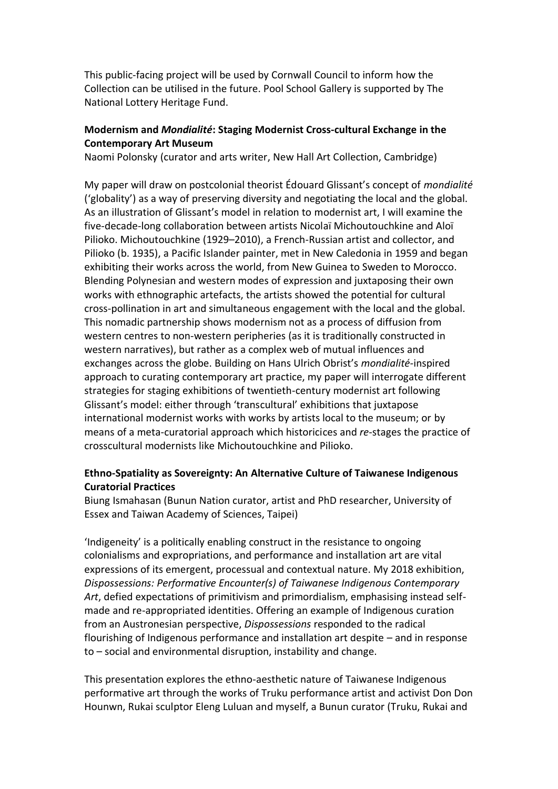This public-facing project will be used by Cornwall Council to inform how the Collection can be utilised in the future. Pool School Gallery is supported by The National Lottery Heritage Fund.

# **Modernism and** *Mondialité***: Staging Modernist Cross-cultural Exchange in the Contemporary Art Museum**

Naomi Polonsky (curator and arts writer, New Hall Art Collection, Cambridge)

My paper will draw on postcolonial theorist Édouard Glissant's concept of *mondialité*  ('globality') as a way of preserving diversity and negotiating the local and the global. As an illustration of Glissant's model in relation to modernist art, I will examine the five-decade-long collaboration between artists Nicolaï Michoutouchkine and Aloï Pilioko. Michoutouchkine (1929–2010), a French-Russian artist and collector, and Pilioko (b. 1935), a Pacific Islander painter, met in New Caledonia in 1959 and began exhibiting their works across the world, from New Guinea to Sweden to Morocco. Blending Polynesian and western modes of expression and juxtaposing their own works with ethnographic artefacts, the artists showed the potential for cultural cross-pollination in art and simultaneous engagement with the local and the global. This nomadic partnership shows modernism not as a process of diffusion from western centres to non-western peripheries (as it is traditionally constructed in western narratives), but rather as a complex web of mutual influences and exchanges across the globe. Building on Hans Ulrich Obrist's *mondialité-*inspired approach to curating contemporary art practice, my paper will interrogate different strategies for staging exhibitions of twentieth-century modernist art following Glissant's model: either through 'transcultural' exhibitions that juxtapose international modernist works with works by artists local to the museum; or by means of a meta-curatorial approach which historicices and *re*-stages the practice of crosscultural modernists like Michoutouchkine and Pilioko.

### **Ethno-Spatiality as Sovereignty: An Alternative Culture of Taiwanese Indigenous Curatorial Practices**

Biung Ismahasan (Bunun Nation curator, artist and PhD researcher, University of Essex and Taiwan Academy of Sciences, Taipei)

'Indigeneity' is a politically enabling construct in the resistance to ongoing colonialisms and expropriations, and performance and installation art are vital expressions of its emergent, processual and contextual nature. My 2018 exhibition, *Dispossessions: Performative Encounter(s) of Taiwanese Indigenous Contemporary Art*, defied expectations of primitivism and primordialism, emphasising instead selfmade and re-appropriated identities. Offering an example of Indigenous curation from an Austronesian perspective, *Dispossessions* responded to the radical flourishing of Indigenous performance and installation art despite – and in response to – social and environmental disruption, instability and change.

This presentation explores the ethno-aesthetic nature of Taiwanese Indigenous performative art through the works of Truku performance artist and activist Don Don Hounwn, Rukai sculptor Eleng Luluan and myself, a Bunun curator (Truku, Rukai and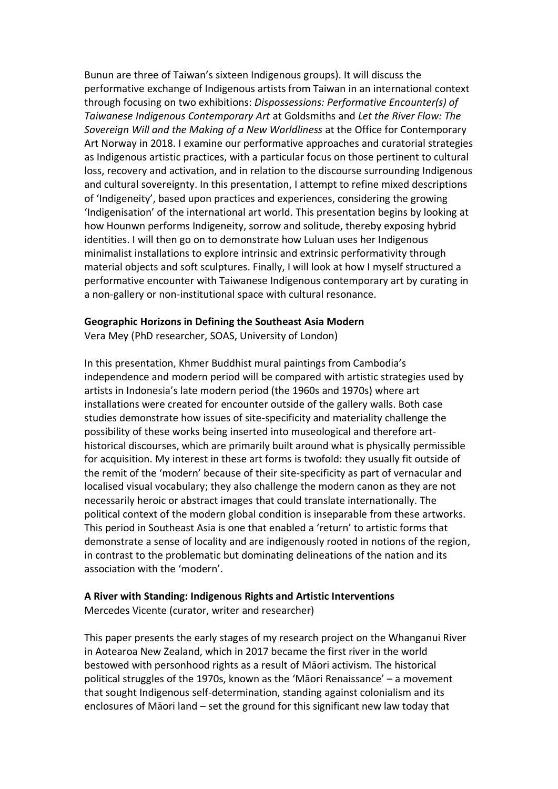Bunun are three of Taiwan's sixteen Indigenous groups). It will discuss the performative exchange of Indigenous artists from Taiwan in an international context through focusing on two exhibitions: *Dispossessions: Performative Encounter(s) of Taiwanese Indigenous Contemporary Art* at Goldsmiths and *Let the River Flow: The Sovereign Will and the Making of a New Worldliness* at the Office for Contemporary Art Norway in 2018. I examine our performative approaches and curatorial strategies as Indigenous artistic practices, with a particular focus on those pertinent to cultural loss, recovery and activation, and in relation to the discourse surrounding Indigenous and cultural sovereignty. In this presentation, I attempt to refine mixed descriptions of 'Indigeneity', based upon practices and experiences, considering the growing 'Indigenisation' of the international art world. This presentation begins by looking at how Hounwn performs Indigeneity, sorrow and solitude, thereby exposing hybrid identities. I will then go on to demonstrate how Luluan uses her Indigenous minimalist installations to explore intrinsic and extrinsic performativity through material objects and soft sculptures. Finally, I will look at how I myself structured a performative encounter with Taiwanese Indigenous contemporary art by curating in a non-gallery or non-institutional space with cultural resonance.

#### **Geographic Horizons in Defining the Southeast Asia Modern**

Vera Mey (PhD researcher, SOAS, University of London)

In this presentation, Khmer Buddhist mural paintings from Cambodia's independence and modern period will be compared with artistic strategies used by artists in Indonesia's late modern period (the 1960s and 1970s) where art installations were created for encounter outside of the gallery walls. Both case studies demonstrate how issues of site-specificity and materiality challenge the possibility of these works being inserted into museological and therefore arthistorical discourses, which are primarily built around what is physically permissible for acquisition. My interest in these art forms is twofold: they usually fit outside of the remit of the 'modern' because of their site-specificity as part of vernacular and localised visual vocabulary; they also challenge the modern canon as they are not necessarily heroic or abstract images that could translate internationally. The political context of the modern global condition is inseparable from these artworks. This period in Southeast Asia is one that enabled a 'return' to artistic forms that demonstrate a sense of locality and are indigenously rooted in notions of the region, in contrast to the problematic but dominating delineations of the nation and its association with the 'modern'.

#### **A River with Standing: Indigenous Rights and Artistic Interventions**

Mercedes Vicente (curator, writer and researcher)

This paper presents the early stages of my research project on the Whanganui River in Aotearoa New Zealand, which in 2017 became the first river in the world bestowed with personhood rights as a result of Māori activism. The historical political struggles of the 1970s, known as the 'Māori Renaissance' – a movement that sought Indigenous self-determination, standing against colonialism and its enclosures of Māori land – set the ground for this significant new law today that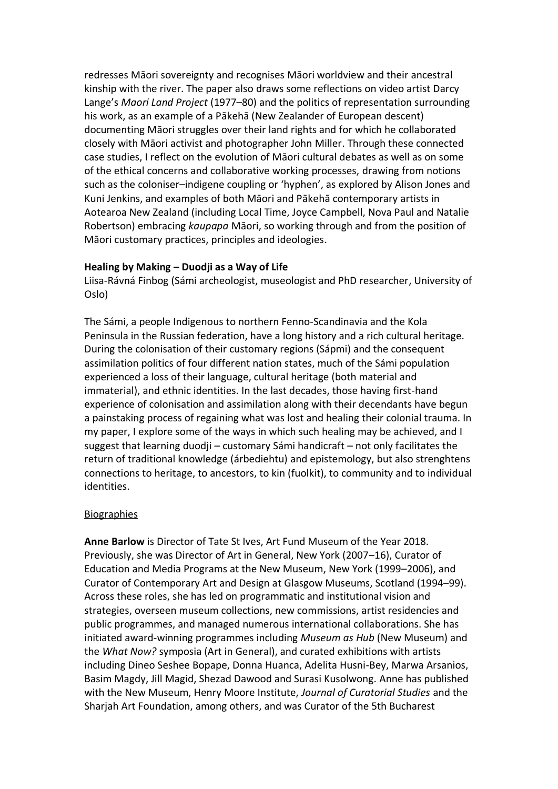redresses Māori sovereignty and recognises Māori worldview and their ancestral kinship with the river. The paper also draws some reflections on video artist Darcy Lange's *Maori Land Project* (1977–80) and the politics of representation surrounding his work, as an example of a Pākehā (New Zealander of European descent) documenting Māori struggles over their land rights and for which he collaborated closely with Māori activist and photographer John Miller. Through these connected case studies, I reflect on the evolution of Māori cultural debates as well as on some of the ethical concerns and collaborative working processes, drawing from notions such as the coloniser–indigene coupling or 'hyphen', as explored by Alison Jones and Kuni Jenkins, and examples of both Māori and Pākehā contemporary artists in Aotearoa New Zealand (including Local Time, Joyce Campbell, Nova Paul and Natalie Robertson) embracing *kaupapa* Māori, so working through and from the position of Māori customary practices, principles and ideologies.

### **Healing by Making – Duodji as a Way of Life**

Liisa-Rávná Finbog (Sámi archeologist, museologist and PhD researcher, University of Oslo)

The Sámi, a people Indigenous to northern Fenno-Scandinavia and the Kola Peninsula in the Russian federation, have a long history and a rich cultural heritage. During the colonisation of their customary regions (Sápmi) and the consequent assimilation politics of four different nation states, much of the Sámi population experienced a loss of their language, cultural heritage (both material and immaterial), and ethnic identities. In the last decades, those having first-hand experience of colonisation and assimilation along with their decendants have begun a painstaking process of regaining what was lost and healing their colonial trauma. In my paper, I explore some of the ways in which such healing may be achieved, and I suggest that learning duodji – customary Sámi handicraft – not only facilitates the return of traditional knowledge (árbediehtu) and epistemology, but also strenghtens connections to heritage, to ancestors, to kin (fuolkit), to community and to individual identities.

### **Biographies**

**Anne Barlow** is Director of Tate St Ives, Art Fund Museum of the Year 2018. Previously, she was Director of Art in General, New York (2007–16), Curator of Education and Media Programs at the New Museum, New York (1999–2006), and Curator of Contemporary Art and Design at Glasgow Museums, Scotland (1994–99). Across these roles, she has led on programmatic and institutional vision and strategies, overseen museum collections, new commissions, artist residencies and public programmes, and managed numerous international collaborations. She has initiated award-winning programmes including *Museum as Hub* (New Museum) and the *What Now?* symposia (Art in General), and curated exhibitions with artists including Dineo Seshee Bopape, Donna Huanca, Adelita Husni-Bey, Marwa Arsanios, Basim Magdy, Jill Magid, Shezad Dawood and Surasi Kusolwong. Anne has published with the New Museum, Henry Moore Institute, *Journal of Curatorial Studies* and the Sharjah Art Foundation, among others, and was Curator of the 5th Bucharest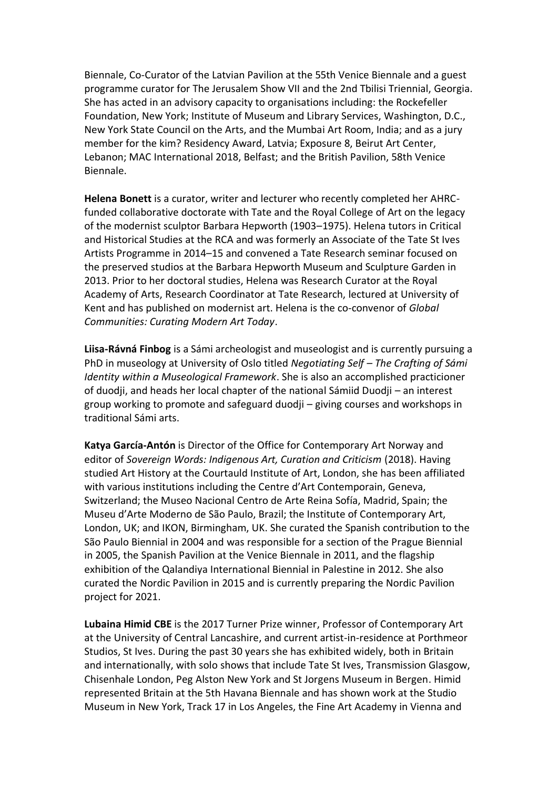Biennale, Co-Curator of the Latvian Pavilion at the 55th Venice Biennale and a guest programme curator for The Jerusalem Show VII and the 2nd Tbilisi Triennial, Georgia. She has acted in an advisory capacity to organisations including: the Rockefeller Foundation, New York; Institute of Museum and Library Services, Washington, D.C., New York State Council on the Arts, and the Mumbai Art Room, India; and as a jury member for the kim? Residency Award, Latvia; Exposure 8, Beirut Art Center, Lebanon; MAC International 2018, Belfast; and the British Pavilion, 58th Venice Biennale.

**Helena Bonett** is a curator, writer and lecturer who recently completed her AHRCfunded collaborative doctorate with Tate and the Royal College of Art on the legacy of the modernist sculptor Barbara Hepworth (1903–1975). Helena tutors in Critical and Historical Studies at the RCA and was formerly an Associate of the Tate St Ives Artists Programme in 2014–15 and convened a Tate Research seminar focused on the preserved studios at the Barbara Hepworth Museum and Sculpture Garden in 2013. Prior to her doctoral studies, Helena was Research Curator at the Royal Academy of Arts, Research Coordinator at Tate Research, lectured at University of Kent and has published on modernist art. Helena is the co-convenor of *Global Communities: Curating Modern Art Today*.

**Liisa-Rávná Finbog** is a Sámi archeologist and museologist and is currently pursuing a PhD in museology at University of Oslo titled *Negotiating Self – The Crafting of Sámi Identity within a Museological Framework*. She is also an accomplished practicioner of duodji, and heads her local chapter of the national Sámiid Duodji – an interest group working to promote and safeguard duodji – giving courses and workshops in traditional Sámi arts.

**Katya García-Antón** is Director of the Office for Contemporary Art Norway and editor of *Sovereign Words: Indigenous Art, Curation and Criticism* (2018). Having studied Art History at the Courtauld Institute of Art, London, she has been affiliated with various institutions including the Centre d'Art Contemporain, Geneva, Switzerland; the Museo Nacional Centro de Arte Reina Sofía, Madrid, Spain; the Museu d'Arte Moderno de São Paulo, Brazil; the Institute of Contemporary Art, London, UK; and IKON, Birmingham, UK. She curated the Spanish contribution to the São Paulo Biennial in 2004 and was responsible for a section of the Prague Biennial in 2005, the Spanish Pavilion at the Venice Biennale in 2011, and the flagship exhibition of the Qalandiya International Biennial in Palestine in 2012. She also curated the Nordic Pavilion in 2015 and is currently preparing the Nordic Pavilion project for 2021.

**Lubaina Himid CBE** is the 2017 Turner Prize winner, Professor of Contemporary Art at the University of Central Lancashire, and current artist-in-residence at Porthmeor Studios, St Ives. During the past 30 years she has exhibited widely, both in Britain and internationally, with solo shows that include Tate St Ives, Transmission Glasgow, Chisenhale London, Peg Alston New York and St Jorgens Museum in Bergen. Himid represented Britain at the 5th Havana Biennale and has shown work at the Studio Museum in New York, Track 17 in Los Angeles, the Fine Art Academy in Vienna and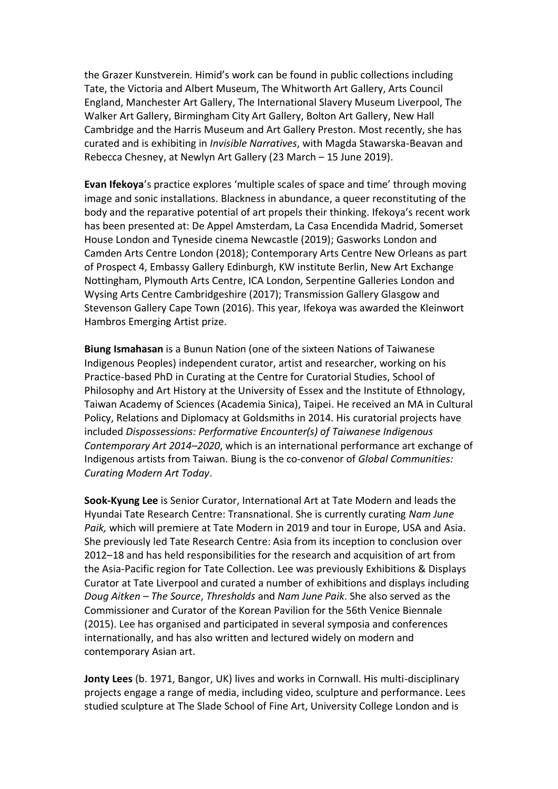the Grazer Kunstverein. Himid's work can be found in public collections including Tate, the Victoria and Albert Museum, The Whitworth Art Gallery, Arts Council England, Manchester Art Gallery, The International Slavery Museum Liverpool, The Walker Art Gallery, Birmingham City Art Gallery, Bolton Art Gallery, New Hall Cambridge and the Harris Museum and Art Gallery Preston. Most recently, she has curated and is exhibiting in *Invisible Narratives*, with Magda Stawarska-Beavan and Rebecca Chesney, at Newlyn Art Gallery (23 March – 15 June 2019).

**Evan Ifekoya**'s practice explores 'multiple scales of space and time' through moving image and sonic installations. Blackness in abundance, a queer reconstituting of the body and the reparative potential of art propels their thinking. Ifekoya's recent work has been presented at: De Appel Amsterdam, La Casa Encendida Madrid, Somerset House London and Tyneside cinema Newcastle (2019); Gasworks London and Camden Arts Centre London (2018); Contemporary Arts Centre New Orleans as part of Prospect 4, Embassy Gallery Edinburgh, KW institute Berlin, New Art Exchange Nottingham, Plymouth Arts Centre, ICA London, Serpentine Galleries London and Wysing Arts Centre Cambridgeshire (2017); Transmission Gallery Glasgow and Stevenson Gallery Cape Town (2016). This year, Ifekoya was awarded the Kleinwort Hambros Emerging Artist prize.

**Biung Ismahasan** is a Bunun Nation (one of the sixteen Nations of Taiwanese Indigenous Peoples) independent curator, artist and researcher, working on his Practice-based PhD in Curating at the Centre for Curatorial Studies, School of Philosophy and Art History at the University of Essex and the Institute of Ethnology, Taiwan Academy of Sciences (Academia Sinica), Taipei. He received an MA in Cultural Policy, Relations and Diplomacy at Goldsmiths in 2014. His curatorial projects have included *Dispossessions: Performative Encounter(s) of Taiwanese Indigenous Contemporary Art 2014–2020*, which is an international performance art exchange of Indigenous artists from Taiwan. Biung is the co-convenor of *Global Communities: Curating Modern Art Today*.

**Sook-Kyung Lee** is Senior Curator, International Art at Tate Modern and leads the Hyundai Tate Research Centre: Transnational. She is currently curating *Nam June Paik,* which will premiere at Tate Modern in 2019 and tour in Europe, USA and Asia. She previously led Tate Research Centre: Asia from its inception to conclusion over 2012–18 and has held responsibilities for the research and acquisition of art from the Asia-Pacific region for Tate Collection. Lee was previously Exhibitions & Displays Curator at Tate Liverpool and curated a number of exhibitions and displays including *Doug Aitken – The Source*, *Thresholds* and *Nam June Paik*. She also served as the Commissioner and Curator of the Korean Pavilion for the 56th Venice Biennale (2015). Lee has organised and participated in several symposia and conferences internationally, and has also written and lectured widely on modern and contemporary Asian art.

**Jonty Lees** (b. 1971, Bangor, UK) lives and works in Cornwall. His multi-disciplinary projects engage a range of media, including video, sculpture and performance. Lees studied sculpture at The Slade School of Fine Art, University College London and is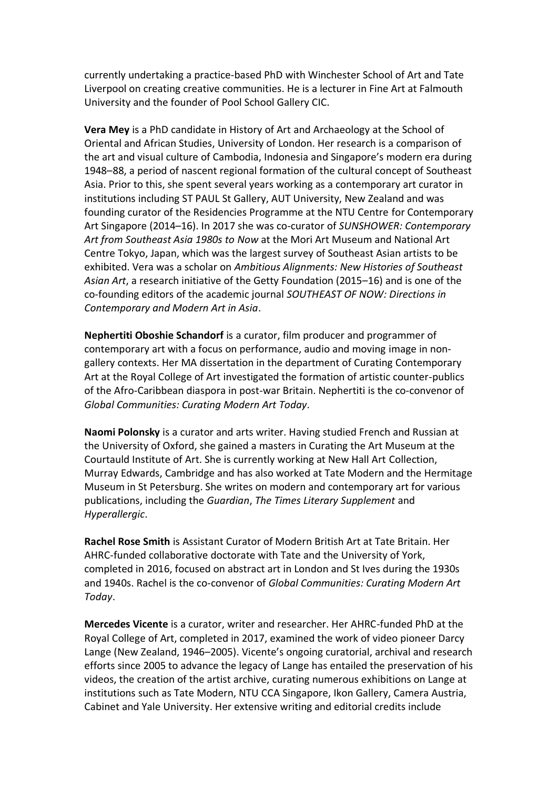currently undertaking a practice-based PhD with Winchester School of Art and Tate Liverpool on creating creative communities. He is a lecturer in Fine Art at Falmouth University and the founder of Pool School Gallery CIC.

**Vera Mey** is a PhD candidate in History of Art and Archaeology at the School of Oriental and African Studies, University of London. Her research is a comparison of the art and visual culture of Cambodia, Indonesia and Singapore's modern era during 1948–88, a period of nascent regional formation of the cultural concept of Southeast Asia. Prior to this, she spent several years working as a contemporary art curator in institutions including ST PAUL St Gallery, AUT University, New Zealand and was founding curator of the Residencies Programme at the NTU Centre for Contemporary Art Singapore (2014–16). In 2017 she was co-curator of *SUNSHOWER: Contemporary Art from Southeast Asia 1980s to Now* at the Mori Art Museum and National Art Centre Tokyo, Japan, which was the largest survey of Southeast Asian artists to be exhibited. Vera was a scholar on *Ambitious Alignments: New Histories of Southeast Asian Art*, a research initiative of the Getty Foundation (2015–16) and is one of the co-founding editors of the academic journal *SOUTHEAST OF NOW: Directions in Contemporary and Modern Art in Asia*.

**Nephertiti Oboshie Schandorf** is a curator, film producer and programmer of contemporary art with a focus on performance, audio and moving image in nongallery contexts. Her MA dissertation in the department of Curating Contemporary Art at the Royal College of Art investigated the formation of artistic counter-publics of the Afro-Caribbean diaspora in post-war Britain. Nephertiti is the co-convenor of *Global Communities: Curating Modern Art Today*.

**Naomi Polonsky** is a curator and arts writer. Having studied French and Russian at the University of Oxford, she gained a masters in Curating the Art Museum at the Courtauld Institute of Art. She is currently working at New Hall Art Collection, Murray Edwards, Cambridge and has also worked at Tate Modern and the Hermitage Museum in St Petersburg. She writes on modern and contemporary art for various publications, including the *Guardian*, *The Times Literary Supplement* and *Hyperallergic*.

**Rachel Rose Smith** is Assistant Curator of Modern British Art at Tate Britain. Her AHRC-funded collaborative doctorate with Tate and the University of York, completed in 2016, focused on abstract art in London and St Ives during the 1930s and 1940s. Rachel is the co-convenor of *Global Communities: Curating Modern Art Today*.

**Mercedes Vicente** is a curator, writer and researcher. Her AHRC-funded PhD at the Royal College of Art, completed in 2017, examined the work of video pioneer Darcy Lange (New Zealand, 1946–2005). Vicente's ongoing curatorial, archival and research efforts since 2005 to advance the legacy of Lange has entailed the preservation of his videos, the creation of the artist archive, curating numerous exhibitions on Lange at institutions such as Tate Modern, NTU CCA Singapore, Ikon Gallery, Camera Austria, Cabinet and Yale University. Her extensive writing and editorial credits include